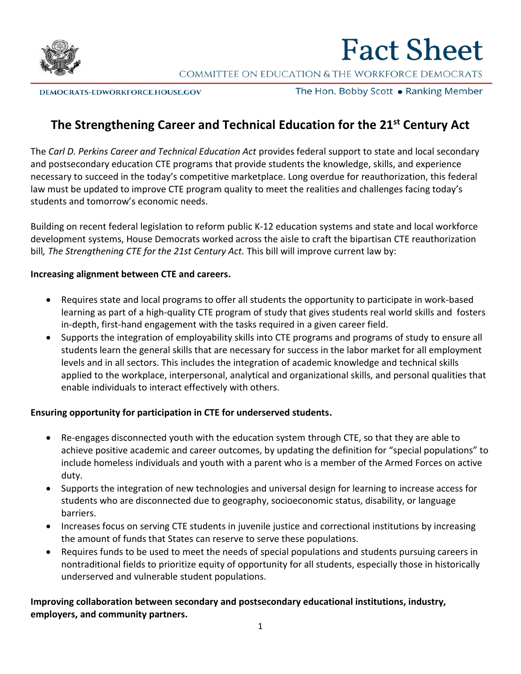

# **Fact Sheet**

COMMITTEE ON EDUCATION & THE WORKFORCE DEMOCRATS

DEMOCRATS-EDWORKFORCE.HOUSE.GOV

The Hon. Bobby Scott • Ranking Member

# **The Strengthening Career and Technical Education for the 21st Century Act**

The *Carl D. Perkins Career and Technical Education Act* provides federal support to state and local secondary and postsecondary education CTE programs that provide students the knowledge, skills, and experience necessary to succeed in the today's competitive marketplace. Long overdue for reauthorization, this federal law must be updated to improve CTE program quality to meet the realities and challenges facing today's students and tomorrow's economic needs.

Building on recent federal legislation to reform public K-12 education systems and state and local workforce development systems, House Democrats worked across the aisle to craft the bipartisan CTE reauthorization bill*, The Strengthening CTE for the 21st Century Act.* This bill will improve current law by:

#### **Increasing alignment between CTE and careers.**

- Requires state and local programs to offer all students the opportunity to participate in work-based learning as part of a high-quality CTE program of study that gives students real world skills and fosters in-depth, first-hand engagement with the tasks required in a given career field.
- Supports the integration of employability skills into CTE programs and programs of study to ensure all students learn the general skills that are necessary for success in the labor market for all employment levels and in all sectors. This includes the integration of academic knowledge and technical skills applied to the workplace, interpersonal, analytical and organizational skills, and personal qualities that enable individuals to interact effectively with others.

## **Ensuring opportunity for participation in CTE for underserved students.**

- Re-engages disconnected youth with the education system through CTE, so that they are able to achieve positive academic and career outcomes, by updating the definition for "special populations" to include homeless individuals and youth with a parent who is a member of the Armed Forces on active duty.
- Supports the integration of new technologies and universal design for learning to increase access for students who are disconnected due to geography, socioeconomic status, disability, or language barriers.
- Increases focus on serving CTE students in juvenile justice and correctional institutions by increasing the amount of funds that States can reserve to serve these populations.
- Requires funds to be used to meet the needs of special populations and students pursuing careers in nontraditional fields to prioritize equity of opportunity for all students, especially those in historically underserved and vulnerable student populations.

## **Improving collaboration between secondary and postsecondary educational institutions, industry, employers, and community partners.**